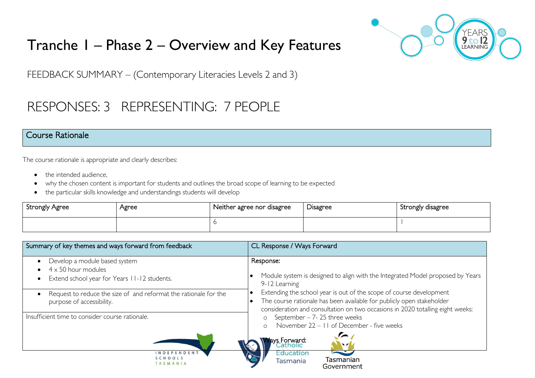# Tranche 1 – Phase 2 – Overview and Key Features



FEEDBACK SUMMARY – (Contemporary Literacies Levels 2 and 3)

# RESPONSES: 3 REPRESENTING: 7 PEOPLE

#### Course Rationale

The course rationale is appropriate and clearly describes:

- the intended audience.
- why the chosen content is important for students and outlines the broad scope of learning to be expected
- the particular skills knowledge and understandings students will develop

| <b>Strongly Agree</b> | Agree | Neither agree nor disagree | -<br>Disagree | Strongly disagree |
|-----------------------|-------|----------------------------|---------------|-------------------|
|                       |       |                            |               |                   |

| Summary of key themes and ways forward from feedback                                                        | CL Response / Ways Forward                                                                                                                                                                                                     |  |
|-------------------------------------------------------------------------------------------------------------|--------------------------------------------------------------------------------------------------------------------------------------------------------------------------------------------------------------------------------|--|
| Develop a module based system<br>$4 \times 50$ hour modules<br>Extend school year for Years 11-12 students. | Response:<br>Module system is designed to align with the Integrated Model proposed by Years<br>9-12 Learning                                                                                                                   |  |
| Request to reduce the size of and reformat the rationale for the<br>purpose of accessibility.               | Extending the school year is out of the scope of course development<br>The course rationale has been available for publicly open stakeholder<br>consideration and consultation on two occasions in 2020 totalling eight weeks: |  |
| Insufficient time to consider course rationale.                                                             | September $-7-25$ three weeks<br>$\circ$<br>November 22 - 11 of December - five weeks<br>$\cap$<br>lays Forward:<br>Catholic<br>$\blacksquare$                                                                                 |  |
| INDEPENDEN <sup>'</sup><br>SCHOOLS<br>TASMANIA                                                              | Education<br>Tasmanian<br>Tasmania<br>Government                                                                                                                                                                               |  |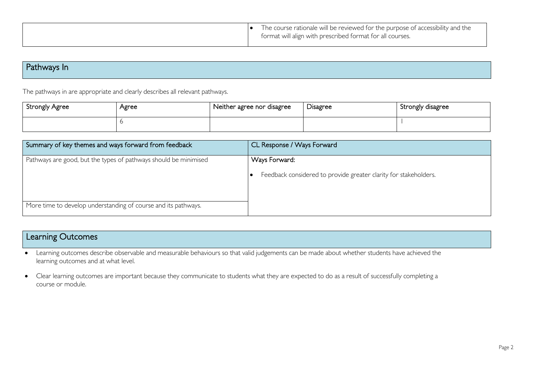|  | The course rationale will be reviewed for the purpose of accessibility and the<br>format will align with prescribed format for all courses. |
|--|---------------------------------------------------------------------------------------------------------------------------------------------|
|--|---------------------------------------------------------------------------------------------------------------------------------------------|

## Pathways In

The pathways in are appropriate and clearly describes all relevant pathways.

| Strongly Agree | Agree | Neither agree nor disagree | -<br><b>D</b> isagree | Strongly disagree |
|----------------|-------|----------------------------|-----------------------|-------------------|
|                |       |                            |                       |                   |

| Summary of key themes and ways forward from feedback             | CL Response / Ways Forward                                       |
|------------------------------------------------------------------|------------------------------------------------------------------|
| Pathways are good, but the types of pathways should be minimised | Ways Forward:                                                    |
|                                                                  | Feedback considered to provide greater clarity for stakeholders. |
|                                                                  |                                                                  |
| More time to develop understanding of course and its pathways.   |                                                                  |

## Learning Outcomes

• Learning outcomes describe observable and measurable behaviours so that valid judgements can be made about whether students have achieved the learning outcomes and at what level.

• Clear learning outcomes are important because they communicate to students what they are expected to do as a result of successfully completing a course or module.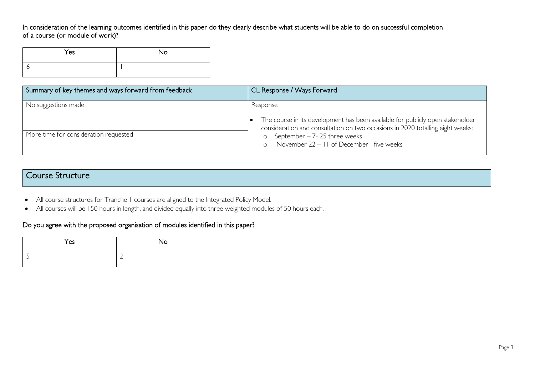In consideration of the learning outcomes identified in this paper do they clearly describe what students will be able to do on successful completion of a course (or module of work)?

| Yes | No |
|-----|----|
|     |    |

| Summary of key themes and ways forward from feedback | CL Response / Ways Forward                                                                                                                                                   |
|------------------------------------------------------|------------------------------------------------------------------------------------------------------------------------------------------------------------------------------|
| No suggestions made                                  | Response<br>The course in its development has been available for publicly open stakeholder<br>consideration and consultation on two occasions in 2020 totalling eight weeks: |
| More time for consideration requested                | o September $-7-25$ three weeks<br>November 22 - 11 of December - five weeks                                                                                                 |

### Course Structure

- All course structures for Tranche 1 courses are aligned to the Integrated Policy Model.
- All courses will be 150 hours in length, and divided equally into three weighted modules of 50 hours each.

#### Do you agree with the proposed organisation of modules identified in this paper?

| Yes | No |
|-----|----|
|     |    |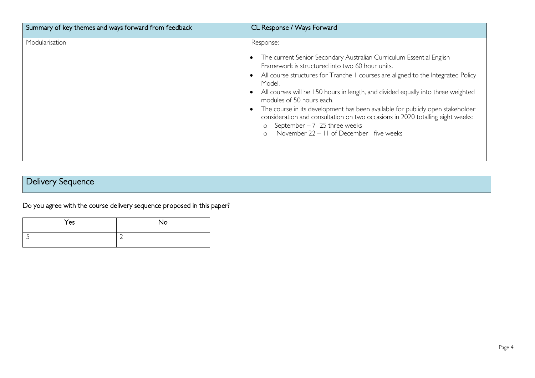| Summary of key themes and ways forward from feedback | CL Response / Ways Forward                                                                                                                                                                                                                                                                                                                                                                                                                                                                                                                                                                                       |
|------------------------------------------------------|------------------------------------------------------------------------------------------------------------------------------------------------------------------------------------------------------------------------------------------------------------------------------------------------------------------------------------------------------------------------------------------------------------------------------------------------------------------------------------------------------------------------------------------------------------------------------------------------------------------|
| Modularisation                                       | Response:<br>The current Senior Secondary Australian Curriculum Essential English<br>Framework is structured into two 60 hour units.<br>All course structures for Tranche I courses are aligned to the Integrated Policy<br>Model.<br>All courses will be 150 hours in length, and divided equally into three weighted<br>modules of 50 hours each.<br>The course in its development has been available for publicly open stakeholder<br>consideration and consultation on two occasions in 2020 totalling eight weeks:<br>September $-7-25$ three weeks<br>$\circ$<br>November 22 – 11 of December - five weeks |

## Delivery Sequence

Do you agree with the course delivery sequence proposed in this paper?

| Yes | No |
|-----|----|
|     | ∽  |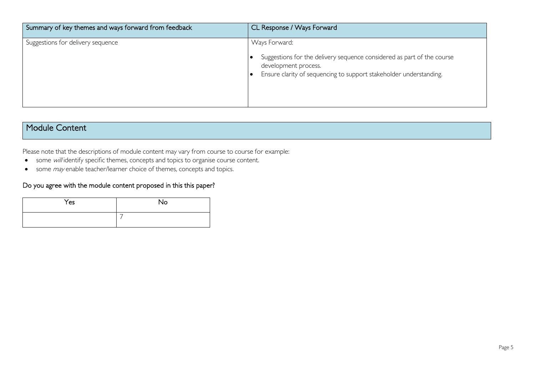| Summary of key themes and ways forward from feedback | CL Response / Ways Forward                                                                                                                                                            |
|------------------------------------------------------|---------------------------------------------------------------------------------------------------------------------------------------------------------------------------------------|
| Suggestions for delivery sequence                    | Ways Forward:<br>Suggestions for the delivery sequence considered as part of the course<br>development process.<br>Ensure clarity of sequencing to support stakeholder understanding. |

### Module Content

Please note that the descriptions of module content may vary from course to course for example:

- some will identify specific themes, concepts and topics to organise course content.
- some *may* enable teacher/learner choice of themes, concepts and topics.

#### Do you agree with the module content proposed in this this paper?

| Yes | No |
|-----|----|
|     |    |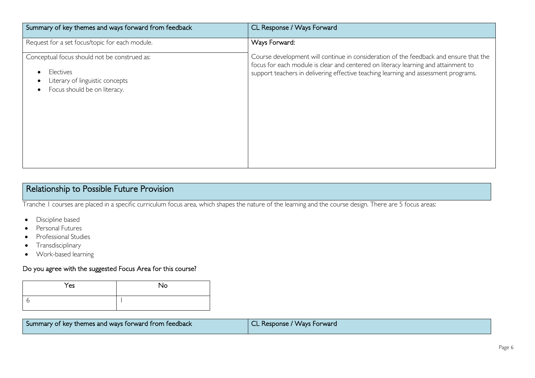| Summary of key themes and ways forward from feedback                                                                         | CL Response / Ways Forward                                                                                                                                                                                                                                         |
|------------------------------------------------------------------------------------------------------------------------------|--------------------------------------------------------------------------------------------------------------------------------------------------------------------------------------------------------------------------------------------------------------------|
| Request for a set focus/topic for each module.                                                                               | Ways Forward:                                                                                                                                                                                                                                                      |
| Conceptual focus should not be construed as:<br>Electives<br>Literary of linguistic concepts<br>Focus should be on literacy. | Course development will continue in consideration of the feedback and ensure that the<br>focus for each module is clear and centered on literacy learning and attainment to<br>support teachers in delivering effective teaching learning and assessment programs. |

## Relationship to Possible Future Provision

Tranche 1 courses are placed in a specific curriculum focus area, which shapes the nature of the learning and the course design. There are 5 focus areas:

- Discipline based
- Personal Futures
- Professional Studies
- Transdisciplinary
- Work-based learning

#### Do you agree with the suggested Focus Area for this course?

| Yes | <b>No</b> |
|-----|-----------|
|     |           |

| Summary of key themes and ways forward from feedback | CL Response / Ways Forward |
|------------------------------------------------------|----------------------------|
|                                                      |                            |